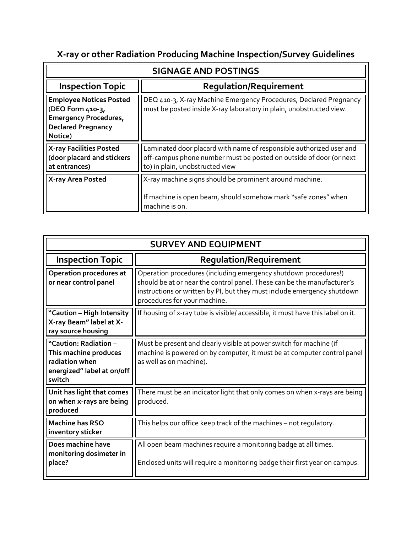## **X-ray or other Radiation Producing Machine Inspection/Survey Guidelines**

| <b>SIGNAGE AND POSTINGS</b>                                                                                                |                                                                                                                                                                              |  |
|----------------------------------------------------------------------------------------------------------------------------|------------------------------------------------------------------------------------------------------------------------------------------------------------------------------|--|
| <b>Inspection Topic</b>                                                                                                    | <b>Regulation/Requirement</b>                                                                                                                                                |  |
| <b>Employee Notices Posted</b><br>(DEQ Form 410-3,<br><b>Emergency Procedures,</b><br><b>Declared Pregnancy</b><br>Notice) | DEQ 410-3, X-ray Machine Emergency Procedures, Declared Pregnancy<br>must be posted inside X-ray laboratory in plain, unobstructed view.                                     |  |
| <b>X-ray Facilities Posted</b><br>(door placard and stickers<br>at entrances)                                              | Laminated door placard with name of responsible authorized user and<br>off-campus phone number must be posted on outside of door (or next<br>to) in plain, unobstructed view |  |
| X-ray Area Posted                                                                                                          | X-ray machine signs should be prominent around machine.<br>If machine is open beam, should somehow mark "safe zones" when<br>machine is on.                                  |  |

| <b>SURVEY AND EQUIPMENT</b>                                                                              |                                                                                                                                                                                                                                                       |  |
|----------------------------------------------------------------------------------------------------------|-------------------------------------------------------------------------------------------------------------------------------------------------------------------------------------------------------------------------------------------------------|--|
| <b>Inspection Topic</b>                                                                                  | <b>Regulation/Requirement</b>                                                                                                                                                                                                                         |  |
| <b>Operation procedures at</b><br>or near control panel                                                  | Operation procedures (including emergency shutdown procedures!)<br>should be at or near the control panel. These can be the manufacturer's<br>instructions or written by PI, but they must include emergency shutdown<br>procedures for your machine. |  |
| "Caution - High Intensity<br>X-ray Beam" label at X-<br>ray source housing                               | If housing of x-ray tube is visible/accessible, it must have this label on it.                                                                                                                                                                        |  |
| "Caution: Radiation –<br>This machine produces<br>radiation when<br>energized" label at on/off<br>switch | Must be present and clearly visible at power switch for machine (if<br>machine is powered on by computer, it must be at computer control panel<br>as well as on machine).                                                                             |  |
| Unit has light that comes<br>on when x-rays are being<br>produced                                        | There must be an indicator light that only comes on when x-rays are being<br>produced.                                                                                                                                                                |  |
| <b>Machine has RSO</b><br>inventory sticker                                                              | This helps our office keep track of the machines - not regulatory.                                                                                                                                                                                    |  |
| Does machine have<br>monitoring dosimeter in<br>place?                                                   | All open beam machines require a monitoring badge at all times.<br>Enclosed units will require a monitoring badge their first year on campus.                                                                                                         |  |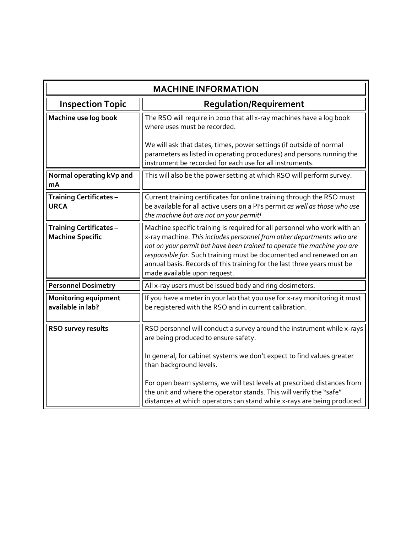| <b>MACHINE INFORMATION</b>                                |                                                                                                                                                                                                                                                                                                                                                                                                                |
|-----------------------------------------------------------|----------------------------------------------------------------------------------------------------------------------------------------------------------------------------------------------------------------------------------------------------------------------------------------------------------------------------------------------------------------------------------------------------------------|
| <b>Inspection Topic</b>                                   | Regulation/Requirement                                                                                                                                                                                                                                                                                                                                                                                         |
| Machine use log book                                      | The RSO will require in 2010 that all x-ray machines have a log book<br>where uses must be recorded.                                                                                                                                                                                                                                                                                                           |
|                                                           | We will ask that dates, times, power settings (if outside of normal<br>parameters as listed in operating procedures) and persons running the<br>instrument be recorded for each use for all instruments.                                                                                                                                                                                                       |
| Normal operating kVp and<br>mA                            | This will also be the power setting at which RSO will perform survey.                                                                                                                                                                                                                                                                                                                                          |
| <b>Training Certificates -</b><br><b>URCA</b>             | Current training certificates for online training through the RSO must<br>be available for all active users on a PI's permit as well as those who use<br>the machine but are not on your permit!                                                                                                                                                                                                               |
| <b>Training Certificates -</b><br><b>Machine Specific</b> | Machine specific training is required for all personnel who work with an<br>x-ray machine. This includes personnel from other departments who are<br>not on your permit but have been trained to operate the machine you are<br>responsible for. Such training must be documented and renewed on an<br>annual basis. Records of this training for the last three years must be<br>made available upon request. |
| <b>Personnel Dosimetry</b>                                | All x-ray users must be issued body and ring dosimeters.                                                                                                                                                                                                                                                                                                                                                       |
| <b>Monitoring equipment</b><br>available in lab?          | If you have a meter in your lab that you use for x-ray monitoring it must<br>be registered with the RSO and in current calibration.                                                                                                                                                                                                                                                                            |
| RSO survey results                                        | RSO personnel will conduct a survey around the instrument while x-rays<br>are being produced to ensure safety.<br>In general, for cabinet systems we don't expect to find values greater<br>than background levels.                                                                                                                                                                                            |
|                                                           | For open beam systems, we will test levels at prescribed distances from<br>the unit and where the operator stands. This will verify the "safe"<br>distances at which operators can stand while x-rays are being produced.                                                                                                                                                                                      |